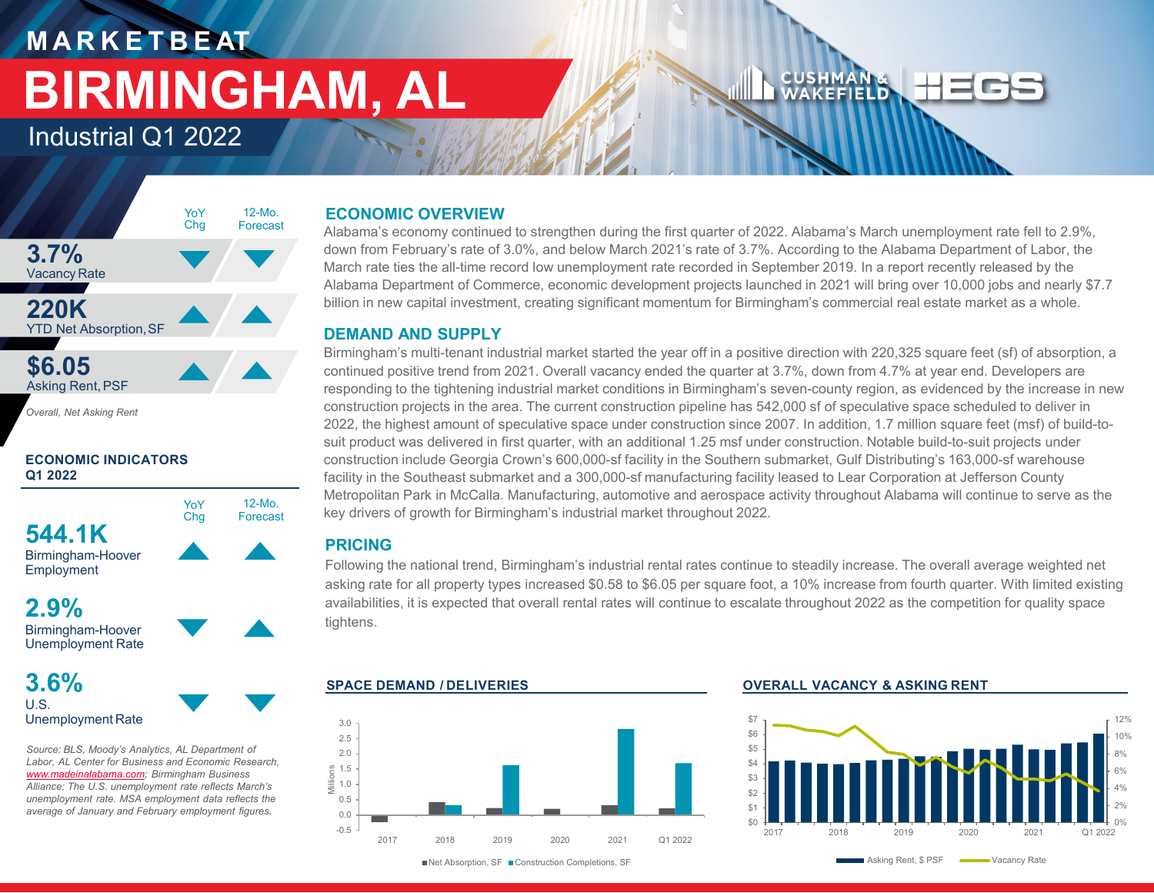# **M A R K E T B E AT BIRMINGHAM, AL**

Industrial Q1 2022



*Overall, Net Asking Rent*

## **ECONOMIC INDICATORS Q1 2022**



Employment

**2.9%** Birmingham-Hoover Unemployment Rate

**3.6%** U.S. Unemployment Rate

*Source: BLS, Moody's Analytics, AL Department of Labor, AL Center for Business and Economic Research, [www.madeinalabama.com](http://www.madeinalabama.com/); Birmingham Business Alliance; The U.S. unemployment rate reflects March's unemployment rate. MSA employment data reflects the average of January and February employment figures.* 

# **ECONOMIC OVERVIEW**

Alabama's economy continued to strengthen during the first quarter of 2022. Alabama's March unemployment rate fell to 2.9%, down from February's rate of 3.0%, and below March 2021's rate of 3.7%. According to the Alabama Department of Labor, the March rate ties the all-time record low unemployment rate recorded in September 2019. In a report recently released by the Alabama Department of Commerce, economic development projects launched in 2021 will bring over 10,000 jobs and nearly \$7.7 billion in new capital investment, creating significant momentum for Birmingham's commercial real estate market as a whole.

# **DEMAND AND SUPPLY**

Birmingham's multi-tenant industrial market started the year off in a positive direction with 220,325 square feet (sf) of absorption, a continued positive trend from 2021. Overall vacancy ended the quarter at 3.7%, down from 4.7% at year end. Developers are responding to the tightening industrial market conditions in Birmingham's seven-county region, as evidenced by the increase in new construction projects in the area. The current construction pipeline has 542,000 sf of speculative space scheduled to deliver in 2022, the highest amount of speculative space under construction since 2007. In addition, 1.7 million square feet (msf) of build-tosuit product was delivered in first quarter, with an additional 1.25 msf under construction. Notable build-to-suit projects under construction include Georgia Crown's 600,000-sf facility in the Southern submarket, Gulf Distributing's 163,000-sf warehouse facility in the Southeast submarket and a 300,000-sf manufacturing facility leased to Lear Corporation at Jefferson County Metropolitan Park in McCalla. Manufacturing, automotive and aerospace activity throughout Alabama will continue to serve as the key drivers of growth for Birmingham's industrial market throughout 2022.

# **PRICING**

Following the national trend, Birmingham's industrial rental rates continue to steadily increase. The overall average weighted net asking rate for all property types increased \$0.58 to \$6.05 per square foot, a 10% increase from fourth quarter. With limited existing availabilities, it is expected that overall rental rates will continue to escalate throughout 2022 as the competition for quality space tightens.





#### **SPACE DEMAND / DELIVERIES OVERALL VACANCY & ASKING RENT**

CUSHMAN&<br>WAKEFIELD



■Net Absorption, SF ■ Construction Completions, SF